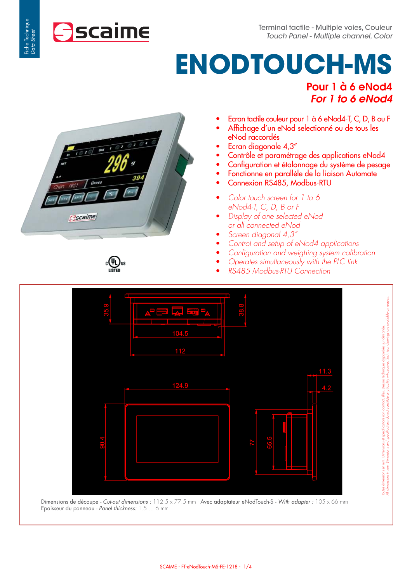# **ENODTOUCH-MS**  Pour 1 à 6 eNod4

For 1 to 6 eNod4

- Ecran tactile couleur pour 1 à 6 eNod4-T, C, D, B ou F
- Affichage d'un eNod selectionné ou de tous les eNod raccordés
- Ecran diagonale 4,3"
- Contrôle et paramétrage des applications eNod4
- Configuration et étalonnage du système de pesage
- Fonctionne en parallèle de la liaison Automate
- Connexion RS485, Modbus-RTU
- *Color touch screen for 1 to 6 eNod4-T, C, D, B or F*
- *Display of one selected eNod or all connected eNod*
- *Screen diagonal 4,3"*
- *Control and setup of eNod4 applications*
- Configuration and weighing system calibration
- *Operates simultaneously with the PLC link*
- *RS485 Modbus-RTU Connection*



Dimensions de découpe - Cut-out dimensions : 112.5 x 77.5 mm - Avec adaptateur eNodTouch-S - With adapter : 105 x 66 mm Epaisseur du panneau - Panel thickness: 1.5 ... 6 mm

։@ա

**Caime** 

**Ascaime** 

Fiche Technique Data Sheet

Fiche Technique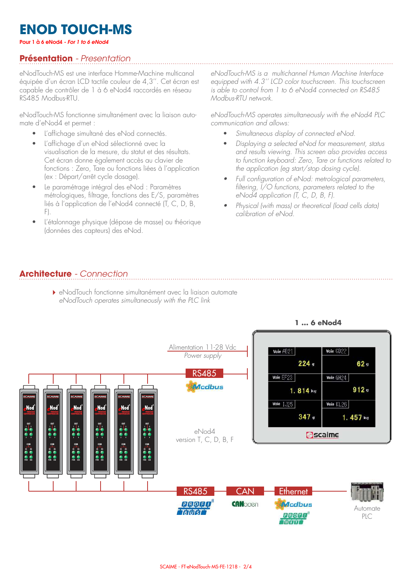# **ENOD TOUCH-MS**

Pour 1 à 6 eNod4 - For 1 to 6 eNod4

### **Présentation** - Presentation

eNodTouch-MS est une interface Homme-Machine multicanal équipée d'un écran LCD tactile couleur de 4,3''. Cet écran est capable de contrôler de 1 à 6 eNod4 raccordés en réseau RS485 Modbus-RTU.

eNodTouch-MS fonctionne simultanément avec la liaison automate d'eNod4 et permet :

- L'affichage simultané des eNod connectés.
- L'affichage d'un eNod sélectionné avec la visualisation de la mesure, du statut et des résultats. Cet écran donne également accès au clavier de fonctions : Zero, Tare ou fonctions liées à l'application (ex : Départ/arrêt cycle dosage).
- Le paramétrage intégral des eNod : Paramètres métrologiques, filtrage, fonctions des E/S, paramètres liés à l'application de l'eNod4 connecté (T, C, D, B, F).
- L'étalonnage physique (dépose de masse) ou théorique (données des capteurs) des eNod.

*eNodTouch-MS is a multichannel Human Machine Interface equipped with 4.3'' LCD color touchscreen. This touchscreen is able to control from 1 to 6 eNod4 connected on RS485 Modbus-RTU network.*

*eNodTouch-MS operates simultaneously with the eNod4 PLC communication and allows:*

- *Simultaneous display of connected eNod.*
- *Displaying a selected eNod for measurement, status and results viewing. This screen also provides access to function keyboard: Zero, Tare or functions related to the application (eg start/stop dosing cycle).*
- *Full configuration of eNod: metrological parameters, filtering, I/O functions, parameters related to the eNod4 application (T, C, D, B, F).*
- *Physical (with mass) or theoretical (load cells data) calibration of eNod.*

#### **Architecture** - Connection

eNodTouch fonctionne simultanément avec la liaison automate *eNodTouch operates simultaneously with the PLC link*

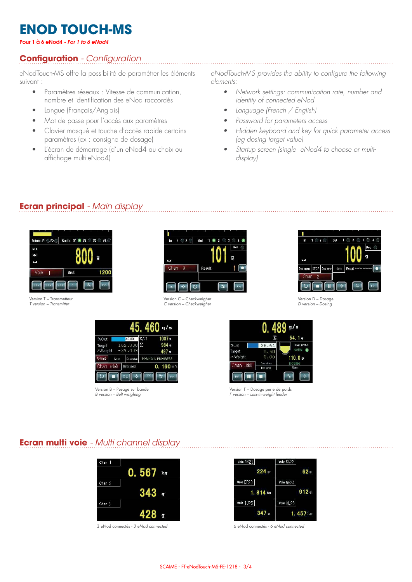# **ENOD TOUCH-MS**

Pour 1 à 6 eNod4 - For 1 to 6 eNod4

### **Configuration** - Configuration

eNodTouch-MS offre la possibilité de paramétrer les éléments suivant :

- Paramètres réseaux : Vitesse de communication, nombre et identification des eNod raccordés
- Langue (Français/Anglais)
- Mot de passe pour l'accès aux paramètres
- Clavier masqué et touche d'accès rapide certains paramètres (ex : consigne de dosage)
- L'écran de démarrage (d'un eNod4 au choix ou affichage multi-eNod4)

eNodTouch-MS provides the ability to configure the following *elements:*

- *Network settings: communication rate, number and identity of connected eNod*
- *Language (French / English)*
- *Password for parameters access*
- *Hidden keyboard and key for quick parameter access (eg dosing target value)*
- *Startup screen (single eNod4 to choose or multidisplay)*

#### **Ecran principal** - Main display

| Entrée E1 E2 | Sortie S1 \$ S2 3 S3 S4         |      |
|--------------|---------------------------------|------|
| NET          |                                 |      |
| ЖK           |                                 | g    |
| NИ           |                                 |      |
| Voie         | Brut                            | 1200 |
| 50<<br>T C I | <b>SPT</b><br>$\ddot{\text{c}}$ | Fn   |

Version T – Transmetteur T version – Transmitter



Version C – Checkweigher C version – Checkweigher



Version D – Dosage D version – Dosing

and the company of the company of the

|               |             |                    |     | q/s                |
|---------------|-------------|--------------------|-----|--------------------|
| %Out          |             | 40.00              | ΣA3 | 1007 ց             |
| Target        |             | $162.000$ $\Sigma$ |     | 984g               |
| △Weight       |             | $-29.309$          |     | 497g               |
| <b>Alarms</b> | <b>None</b> | Dos status         |     | DOSING IN PROGRESS |
| Chan          | eNoB        | Belt speed         |     | $0.160$ m/s        |
|               |             | 20<br>¢۹           |     | Fn                 |

Version B – Pesage sur bande B version – Belt weighing



Version F – Dosage perte de poids F version – Loss-in-weight feeder

#### **Ecran multi voie** - Multi channel display

| Chan $1$ |     |    |
|----------|-----|----|
|          | 567 | kg |
| Chan $2$ |     |    |
|          |     | g  |
| Chan $3$ |     |    |
|          |     | g  |

3 eNod connectés - 3 eNod connected

| Voie AB21 | Voie CD22  |  |
|-----------|------------|--|
| 224g      | 62g        |  |
| Voie EF23 | Voie GH24  |  |
| 1.814 кд  | 912q       |  |
| Voie 1J25 | Voie KL26  |  |
| 347g      | $1.457$ kg |  |

6 eNod connectés - 6 eNod connected